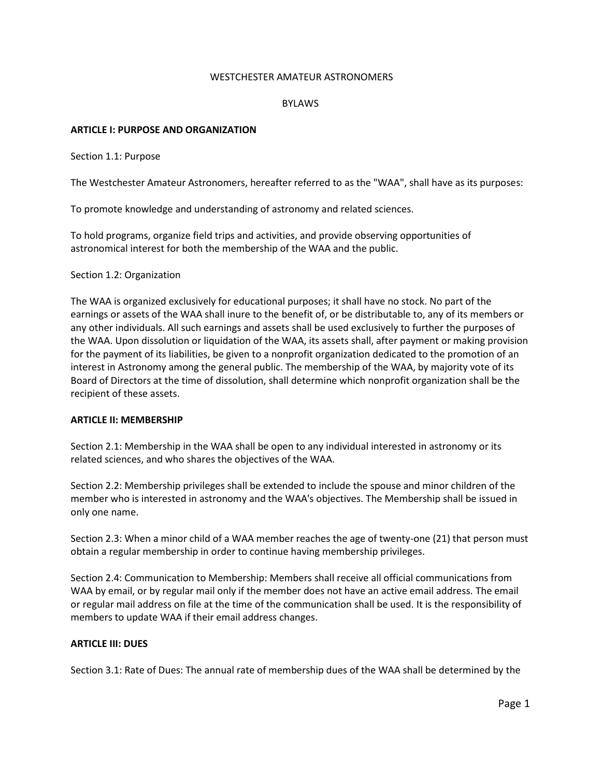#### WESTCHESTER AMATEUR ASTRONOMERS

#### BYLAWS

#### **ARTICLE I: PURPOSE AND ORGANIZATION**

Section 1.1: Purpose

The Westchester Amateur Astronomers, hereafter referred to as the "WAA", shall have as its purposes:

To promote knowledge and understanding of astronomy and related sciences.

To hold programs, organize field trips and activities, and provide observing opportunities of astronomical interest for both the membership of the WAA and the public.

Section 1.2: Organization

The WAA is organized exclusively for educational purposes; it shall have no stock. No part of the earnings or assets of the WAA shall inure to the benefit of, or be distributable to, any of its members or any other individuals. All such earnings and assets shall be used exclusively to further the purposes of the WAA. Upon dissolution or liquidation of the WAA, its assets shall, after payment or making provision for the payment of its liabilities, be given to a nonprofit organization dedicated to the promotion of an interest in Astronomy among the general public. The membership of the WAA, by majority vote of its Board of Directors at the time of dissolution, shall determine which nonprofit organization shall be the recipient of these assets.

#### **ARTICLE II: MEMBERSHIP**

Section 2.1: Membership in the WAA shall be open to any individual interested in astronomy or its related sciences, and who shares the objectives of the WAA.

Section 2.2: Membership privileges shall be extended to include the spouse and minor children of the member who is interested in astronomy and the WAA's objectives. The Membership shall be issued in only one name.

Section 2.3: When a minor child of a WAA member reaches the age of twenty-one (21) that person must obtain a regular membership in order to continue having membership privileges.

Section 2.4: Communication to Membership: Members shall receive all official communications from WAA by email, or by regular mail only if the member does not have an active email address. The email or regular mail address on file at the time of the communication shall be used. It is the responsibility of members to update WAA if their email address changes.

## **ARTICLE III: DUES**

Section 3.1: Rate of Dues: The annual rate of membership dues of the WAA shall be determined by the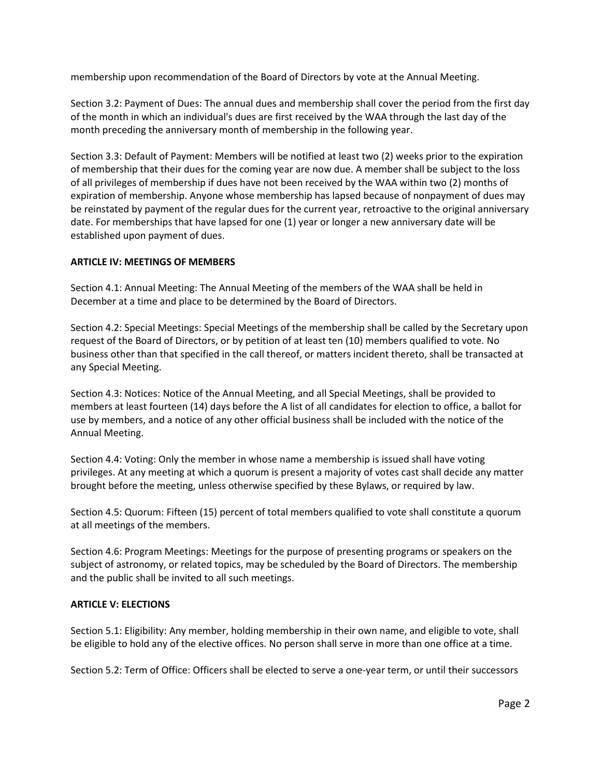membership upon recommendation of the Board of Directors by vote at the Annual Meeting.

Section 3.2: Payment of Dues: The annual dues and membership shall cover the period from the first day of the month in which an individual's dues are first received by the WAA through the last day of the month preceding the anniversary month of membership in the following year.

Section 3.3: Default of Payment: Members will be notified at least two (2) weeks prior to the expiration of membership that their dues for the coming year are now due. A member shall be subject to the loss of all privileges of membership if dues have not been received by the WAA within two (2) months of expiration of membership. Anyone whose membership has lapsed because of nonpayment of dues may be reinstated by payment of the regular dues for the current year, retroactive to the original anniversary date. For memberships that have lapsed for one (1) year or longer a new anniversary date will be established upon payment of dues.

# **ARTICLE IV: MEETINGS OF MEMBERS**

Section 4.1: Annual Meeting: The Annual Meeting of the members of the WAA shall be held in December at a time and place to be determined by the Board of Directors.

Section 4.2: Special Meetings: Special Meetings of the membership shall be called by the Secretary upon request of the Board of Directors, or by petition of at least ten (10) members qualified to vote. No business other than that specified in the call thereof, or matters incident thereto, shall be transacted at any Special Meeting.

Section 4.3: Notices: Notice of the Annual Meeting, and all Special Meetings, shall be provided to members at least fourteen (14) days before the A list of all candidates for election to office, a ballot for use by members, and a notice of any other official business shall be included with the notice of the Annual Meeting.

Section 4.4: Voting: Only the member in whose name a membership is issued shall have voting privileges. At any meeting at which a quorum is present a majority of votes cast shall decide any matter brought before the meeting, unless otherwise specified by these Bylaws, or required by law.

Section 4.5: Quorum: Fifteen (15) percent of total members qualified to vote shall constitute a quorum at all meetings of the members.

Section 4.6: Program Meetings: Meetings for the purpose of presenting programs or speakers on the subject of astronomy, or related topics, may be scheduled by the Board of Directors. The membership and the public shall be invited to all such meetings.

## **ARTICLE V: ELECTIONS**

Section 5.1: Eligibility: Any member, holding membership in their own name, and eligible to vote, shall be eligible to hold any of the elective offices. No person shall serve in more than one office at a time.

Section 5.2: Term of Office: Officers shall be elected to serve a one-year term, or until their successors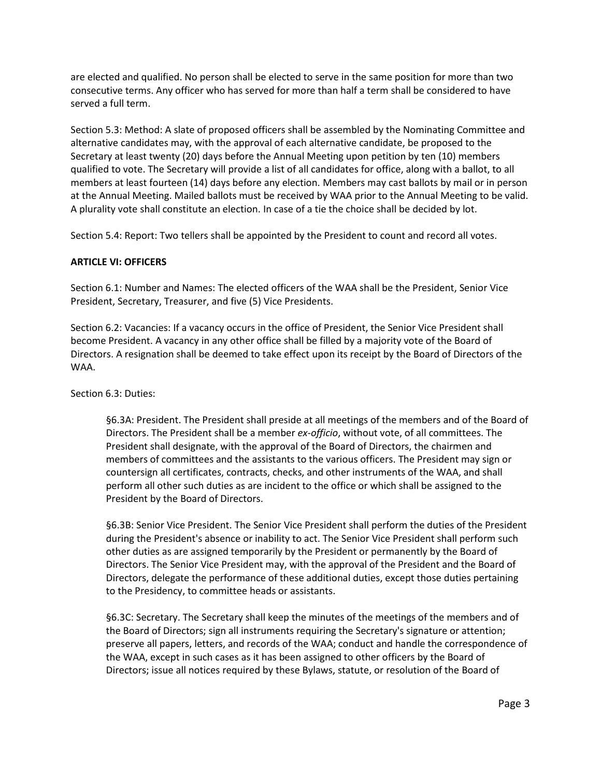are elected and qualified. No person shall be elected to serve in the same position for more than two consecutive terms. Any officer who has served for more than half a term shall be considered to have served a full term.

Section 5.3: Method: A slate of proposed officers shall be assembled by the Nominating Committee and alternative candidates may, with the approval of each alternative candidate, be proposed to the Secretary at least twenty (20) days before the Annual Meeting upon petition by ten (10) members qualified to vote. The Secretary will provide a list of all candidates for office, along with a ballot, to all members at least fourteen (14) days before any election. Members may cast ballots by mail or in person at the Annual Meeting. Mailed ballots must be received by WAA prior to the Annual Meeting to be valid. A plurality vote shall constitute an election. In case of a tie the choice shall be decided by lot.

Section 5.4: Report: Two tellers shall be appointed by the President to count and record all votes.

# **ARTICLE VI: OFFICERS**

Section 6.1: Number and Names: The elected officers of the WAA shall be the President, Senior Vice President, Secretary, Treasurer, and five (5) Vice Presidents.

Section 6.2: Vacancies: If a vacancy occurs in the office of President, the Senior Vice President shall become President. A vacancy in any other office shall be filled by a majority vote of the Board of Directors. A resignation shall be deemed to take effect upon its receipt by the Board of Directors of the WAA.

Section 6.3: Duties:

§6.3A: President. The President shall preside at all meetings of the members and of the Board of Directors. The President shall be a member *ex-officio*, without vote, of all committees. The President shall designate, with the approval of the Board of Directors, the chairmen and members of committees and the assistants to the various officers. The President may sign or countersign all certificates, contracts, checks, and other instruments of the WAA, and shall perform all other such duties as are incident to the office or which shall be assigned to the President by the Board of Directors.

§6.3B: Senior Vice President. The Senior Vice President shall perform the duties of the President during the President's absence or inability to act. The Senior Vice President shall perform such other duties as are assigned temporarily by the President or permanently by the Board of Directors. The Senior Vice President may, with the approval of the President and the Board of Directors, delegate the performance of these additional duties, except those duties pertaining to the Presidency, to committee heads or assistants.

§6.3C: Secretary. The Secretary shall keep the minutes of the meetings of the members and of the Board of Directors; sign all instruments requiring the Secretary's signature or attention; preserve all papers, letters, and records of the WAA; conduct and handle the correspondence of the WAA, except in such cases as it has been assigned to other officers by the Board of Directors; issue all notices required by these Bylaws, statute, or resolution of the Board of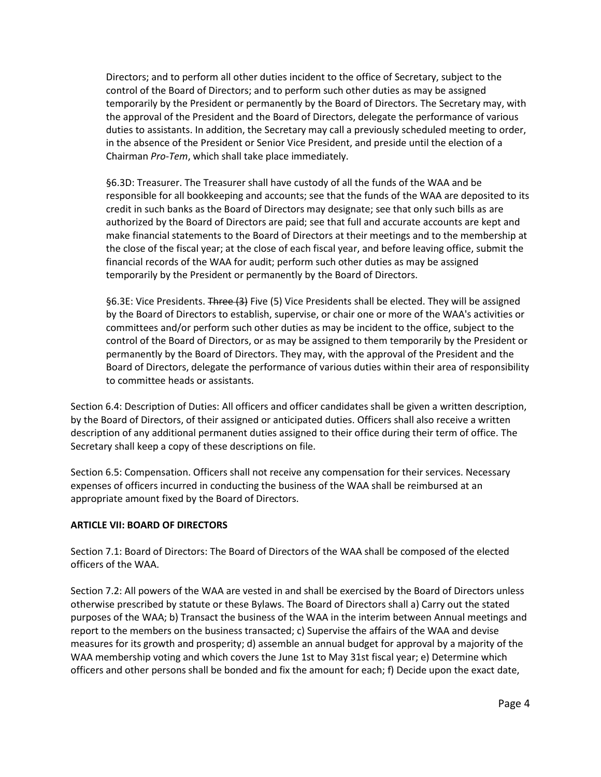Directors; and to perform all other duties incident to the office of Secretary, subject to the control of the Board of Directors; and to perform such other duties as may be assigned temporarily by the President or permanently by the Board of Directors. The Secretary may, with the approval of the President and the Board of Directors, delegate the performance of various duties to assistants. In addition, the Secretary may call a previously scheduled meeting to order, in the absence of the President or Senior Vice President, and preside until the election of a Chairman *Pro-Tem*, which shall take place immediately.

§6.3D: Treasurer. The Treasurer shall have custody of all the funds of the WAA and be responsible for all bookkeeping and accounts; see that the funds of the WAA are deposited to its credit in such banks as the Board of Directors may designate; see that only such bills as are authorized by the Board of Directors are paid; see that full and accurate accounts are kept and make financial statements to the Board of Directors at their meetings and to the membership at the close of the fiscal year; at the close of each fiscal year, and before leaving office, submit the financial records of the WAA for audit; perform such other duties as may be assigned temporarily by the President or permanently by the Board of Directors.

§6.3E: Vice Presidents. Three (3) Five (5) Vice Presidents shall be elected. They will be assigned by the Board of Directors to establish, supervise, or chair one or more of the WAA's activities or committees and/or perform such other duties as may be incident to the office, subject to the control of the Board of Directors, or as may be assigned to them temporarily by the President or permanently by the Board of Directors. They may, with the approval of the President and the Board of Directors, delegate the performance of various duties within their area of responsibility to committee heads or assistants.

Section 6.4: Description of Duties: All officers and officer candidates shall be given a written description, by the Board of Directors, of their assigned or anticipated duties. Officers shall also receive a written description of any additional permanent duties assigned to their office during their term of office. The Secretary shall keep a copy of these descriptions on file.

Section 6.5: Compensation. Officers shall not receive any compensation for their services. Necessary expenses of officers incurred in conducting the business of the WAA shall be reimbursed at an appropriate amount fixed by the Board of Directors.

## **ARTICLE VII: BOARD OF DIRECTORS**

Section 7.1: Board of Directors: The Board of Directors of the WAA shall be composed of the elected officers of the WAA.

Section 7.2: All powers of the WAA are vested in and shall be exercised by the Board of Directors unless otherwise prescribed by statute or these Bylaws. The Board of Directors shall a) Carry out the stated purposes of the WAA; b) Transact the business of the WAA in the interim between Annual meetings and report to the members on the business transacted; c) Supervise the affairs of the WAA and devise measures for its growth and prosperity; d) assemble an annual budget for approval by a majority of the WAA membership voting and which covers the June 1st to May 31st fiscal year; e) Determine which officers and other persons shall be bonded and fix the amount for each; f) Decide upon the exact date,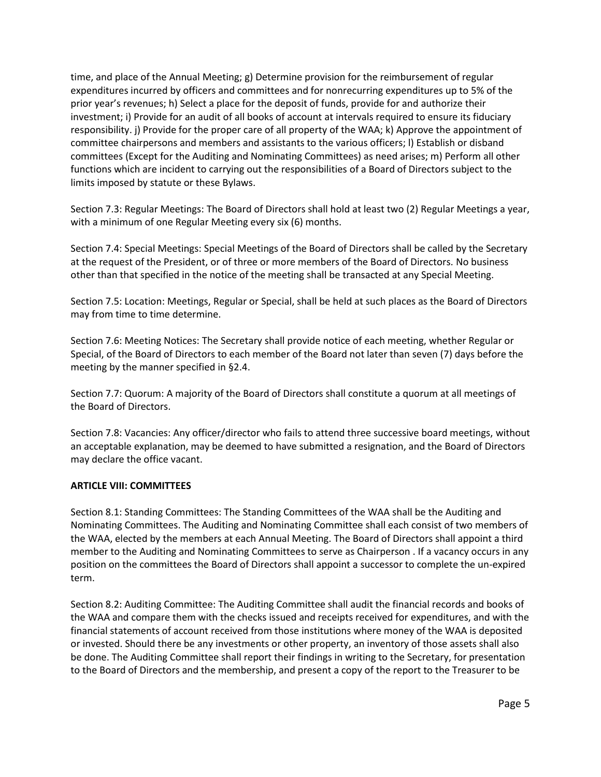time, and place of the Annual Meeting; g) Determine provision for the reimbursement of regular expenditures incurred by officers and committees and for nonrecurring expenditures up to 5% of the prior year's revenues; h) Select a place for the deposit of funds, provide for and authorize their investment; i) Provide for an audit of all books of account at intervals required to ensure its fiduciary responsibility. j) Provide for the proper care of all property of the WAA; k) Approve the appointment of committee chairpersons and members and assistants to the various officers; l) Establish or disband committees (Except for the Auditing and Nominating Committees) as need arises; m) Perform all other functions which are incident to carrying out the responsibilities of a Board of Directors subject to the limits imposed by statute or these Bylaws.

Section 7.3: Regular Meetings: The Board of Directors shall hold at least two (2) Regular Meetings a year, with a minimum of one Regular Meeting every six (6) months.

Section 7.4: Special Meetings: Special Meetings of the Board of Directors shall be called by the Secretary at the request of the President, or of three or more members of the Board of Directors. No business other than that specified in the notice of the meeting shall be transacted at any Special Meeting.

Section 7.5: Location: Meetings, Regular or Special, shall be held at such places as the Board of Directors may from time to time determine.

Section 7.6: Meeting Notices: The Secretary shall provide notice of each meeting, whether Regular or Special, of the Board of Directors to each member of the Board not later than seven (7) days before the meeting by the manner specified in §2.4.

Section 7.7: Quorum: A majority of the Board of Directors shall constitute a quorum at all meetings of the Board of Directors.

Section 7.8: Vacancies: Any officer/director who fails to attend three successive board meetings, without an acceptable explanation, may be deemed to have submitted a resignation, and the Board of Directors may declare the office vacant.

## **ARTICLE VIII: COMMITTEES**

Section 8.1: Standing Committees: The Standing Committees of the WAA shall be the Auditing and Nominating Committees. The Auditing and Nominating Committee shall each consist of two members of the WAA, elected by the members at each Annual Meeting. The Board of Directors shall appoint a third member to the Auditing and Nominating Committees to serve as Chairperson . If a vacancy occurs in any position on the committees the Board of Directors shall appoint a successor to complete the un-expired term.

Section 8.2: Auditing Committee: The Auditing Committee shall audit the financial records and books of the WAA and compare them with the checks issued and receipts received for expenditures, and with the financial statements of account received from those institutions where money of the WAA is deposited or invested. Should there be any investments or other property, an inventory of those assets shall also be done. The Auditing Committee shall report their findings in writing to the Secretary, for presentation to the Board of Directors and the membership, and present a copy of the report to the Treasurer to be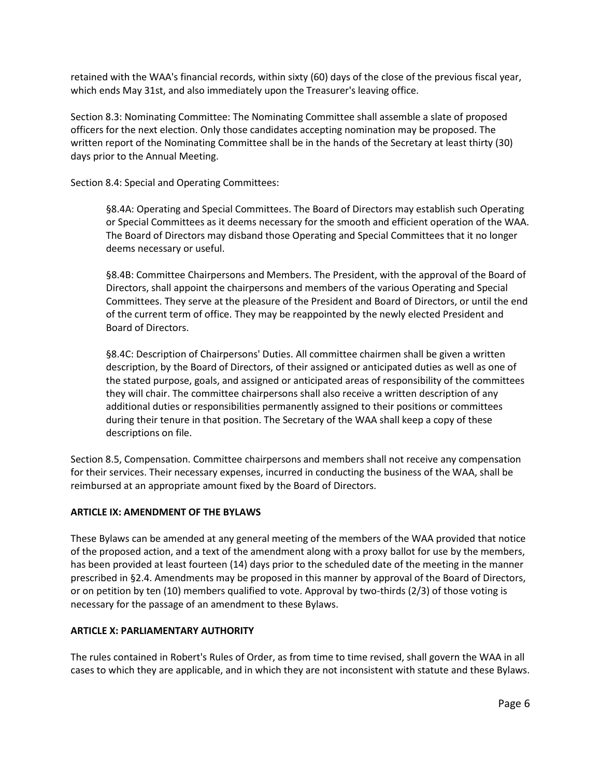retained with the WAA's financial records, within sixty (60) days of the close of the previous fiscal year, which ends May 31st, and also immediately upon the Treasurer's leaving office.

Section 8.3: Nominating Committee: The Nominating Committee shall assemble a slate of proposed officers for the next election. Only those candidates accepting nomination may be proposed. The written report of the Nominating Committee shall be in the hands of the Secretary at least thirty (30) days prior to the Annual Meeting.

Section 8.4: Special and Operating Committees:

§8.4A: Operating and Special Committees. The Board of Directors may establish such Operating or Special Committees as it deems necessary for the smooth and efficient operation of the WAA. The Board of Directors may disband those Operating and Special Committees that it no longer deems necessary or useful.

§8.4B: Committee Chairpersons and Members. The President, with the approval of the Board of Directors, shall appoint the chairpersons and members of the various Operating and Special Committees. They serve at the pleasure of the President and Board of Directors, or until the end of the current term of office. They may be reappointed by the newly elected President and Board of Directors.

§8.4C: Description of Chairpersons' Duties. All committee chairmen shall be given a written description, by the Board of Directors, of their assigned or anticipated duties as well as one of the stated purpose, goals, and assigned or anticipated areas of responsibility of the committees they will chair. The committee chairpersons shall also receive a written description of any additional duties or responsibilities permanently assigned to their positions or committees during their tenure in that position. The Secretary of the WAA shall keep a copy of these descriptions on file.

Section 8.5, Compensation. Committee chairpersons and members shall not receive any compensation for their services. Their necessary expenses, incurred in conducting the business of the WAA, shall be reimbursed at an appropriate amount fixed by the Board of Directors.

# **ARTICLE IX: AMENDMENT OF THE BYLAWS**

These Bylaws can be amended at any general meeting of the members of the WAA provided that notice of the proposed action, and a text of the amendment along with a proxy ballot for use by the members, has been provided at least fourteen (14) days prior to the scheduled date of the meeting in the manner prescribed in §2.4. Amendments may be proposed in this manner by approval of the Board of Directors, or on petition by ten (10) members qualified to vote. Approval by two-thirds (2/3) of those voting is necessary for the passage of an amendment to these Bylaws.

## **ARTICLE X: PARLIAMENTARY AUTHORITY**

The rules contained in Robert's Rules of Order, as from time to time revised, shall govern the WAA in all cases to which they are applicable, and in which they are not inconsistent with statute and these Bylaws.